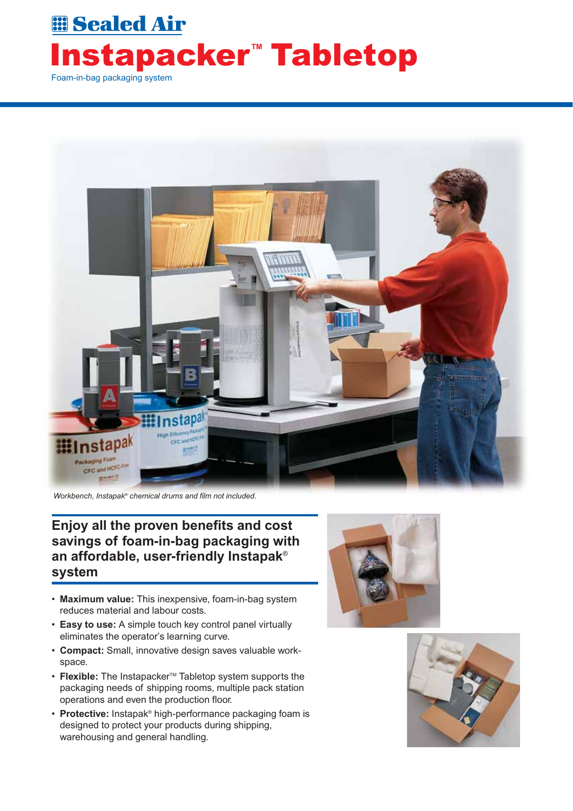## **EB** Sealed Air **Instapacker<sup>"</sup> Tabletop** Foam-in-bag packaging system



*Workbench, Instapak® chemical drums and film not included.*

#### **Enjoy all the proven benefits and cost savings of foam-in-bag packaging with an affordable, user-friendly Instapak**® **system**

- **Maximum value:** This inexpensive, foam-in-bag system reduces material and labour costs.
- **Easy to use:** A simple touch key control panel virtually eliminates the operator's learning curve.
- **Compact:** Small, innovative design saves valuable workspace.
- **Flexible:** The Instapacker<sup>™</sup> Tabletop system supports the packaging needs of shipping rooms, multiple pack station operations and even the production floor.
- **Protective:** Instapak® high-performance packaging foam is designed to protect your products during shipping, warehousing and general handling.